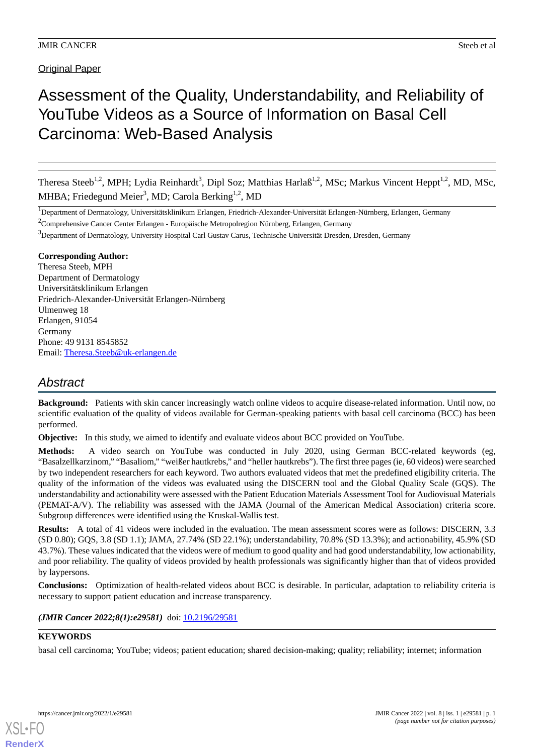# **Original Paper**

# Assessment of the Quality, Understandability, and Reliability of YouTube Videos as a Source of Information on Basal Cell Carcinoma: Web-Based Analysis

Theresa Steeb<sup>1,2</sup>, MPH; Lydia Reinhardt<sup>3</sup>, Dipl Soz; Matthias Harlaß<sup>1,2</sup>, MSc; Markus Vincent Heppt<sup>1,2</sup>, MD, MSc, MHBA; Friedegund Meier<sup>3</sup>, MD; Carola Berking<sup>1,2</sup>, MD

<sup>1</sup>Department of Dermatology, Universitätsklinikum Erlangen, Friedrich-Alexander-Universität Erlangen-Nürnberg, Erlangen, Germany

 $2^2$ Comprehensive Cancer Center Erlangen - Europäische Metropolregion Nürnberg, Erlangen, Germany

<sup>3</sup>Department of Dermatology, University Hospital Carl Gustav Carus, Technische Universität Dresden, Dresden, Germany

### **Corresponding Author:**

Theresa Steeb, MPH Department of Dermatology Universitätsklinikum Erlangen Friedrich-Alexander-Universität Erlangen-Nürnberg Ulmenweg 18 Erlangen, 91054 Germany Phone: 49 9131 8545852 Email: [Theresa.Steeb@uk-erlangen.de](mailto:Theresa.Steeb@uk-erlangen.de)

# *Abstract*

**Background:** Patients with skin cancer increasingly watch online videos to acquire disease-related information. Until now, no scientific evaluation of the quality of videos available for German-speaking patients with basal cell carcinoma (BCC) has been performed.

**Objective:** In this study, we aimed to identify and evaluate videos about BCC provided on YouTube.

**Methods:** A video search on YouTube was conducted in July 2020, using German BCC-related keywords (eg, "Basalzellkarzinom," "Basaliom," "weißer hautkrebs," and "heller hautkrebs"). The first three pages (ie, 60 videos) were searched by two independent researchers for each keyword. Two authors evaluated videos that met the predefined eligibility criteria. The quality of the information of the videos was evaluated using the DISCERN tool and the Global Quality Scale (GQS). The understandability and actionability were assessed with the Patient Education Materials Assessment Tool for Audiovisual Materials (PEMAT-A/V). The reliability was assessed with the JAMA (Journal of the American Medical Association) criteria score. Subgroup differences were identified using the Kruskal-Wallis test.

**Results:** A total of 41 videos were included in the evaluation. The mean assessment scores were as follows: DISCERN, 3.3 (SD 0.80); GQS, 3.8 (SD 1.1); JAMA, 27.74% (SD 22.1%); understandability, 70.8% (SD 13.3%); and actionability, 45.9% (SD 43.7%). These values indicated that the videos were of medium to good quality and had good understandability, low actionability, and poor reliability. The quality of videos provided by health professionals was significantly higher than that of videos provided by laypersons.

**Conclusions:** Optimization of health-related videos about BCC is desirable. In particular, adaptation to reliability criteria is necessary to support patient education and increase transparency.

*(JMIR Cancer 2022;8(1):e29581)* doi: [10.2196/29581](http://dx.doi.org/10.2196/29581)

# **KEYWORDS**

basal cell carcinoma; YouTube; videos; patient education; shared decision-making; quality; reliability; internet; information

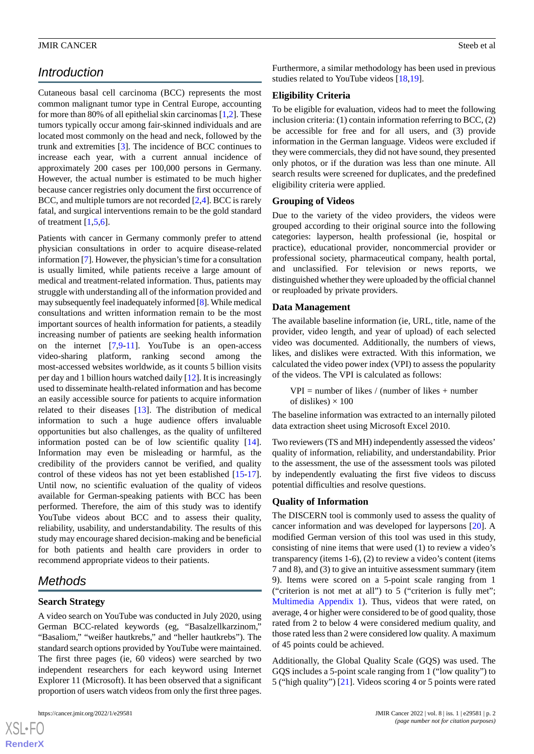# *Introduction*

Cutaneous basal cell carcinoma (BCC) represents the most common malignant tumor type in Central Europe, accounting for more than 80% of all epithelial skin carcinomas [[1,](#page-8-0)[2](#page-8-1)]. These tumors typically occur among fair-skinned individuals and are located most commonly on the head and neck, followed by the trunk and extremities [[3\]](#page-8-2). The incidence of BCC continues to increase each year, with a current annual incidence of approximately 200 cases per 100,000 persons in Germany. However, the actual number is estimated to be much higher because cancer registries only document the first occurrence of BCC, and multiple tumors are not recorded [[2](#page-8-1),[4\]](#page-8-3). BCC is rarely fatal, and surgical interventions remain to be the gold standard of treatment [[1](#page-8-0)[,5](#page-8-4),[6\]](#page-8-5).

Patients with cancer in Germany commonly prefer to attend physician consultations in order to acquire disease-related information [[7\]](#page-8-6). However, the physician's time for a consultation is usually limited, while patients receive a large amount of medical and treatment-related information. Thus, patients may struggle with understanding all of the information provided and may subsequently feel inadequately informed [[8\]](#page-8-7). While medical consultations and written information remain to be the most important sources of health information for patients, a steadily increasing number of patients are seeking health information on the internet  $[7,9-11]$  $[7,9-11]$  $[7,9-11]$  $[7,9-11]$  $[7,9-11]$ . YouTube is an open-access video-sharing platform, ranking second among the most-accessed websites worldwide, as it counts 5 billion visits per day and 1 billion hours watched daily [[12\]](#page-8-10). It is increasingly used to disseminate health-related information and has become an easily accessible source for patients to acquire information related to their diseases [\[13](#page-8-11)]. The distribution of medical information to such a huge audience offers invaluable opportunities but also challenges, as the quality of unfiltered information posted can be of low scientific quality [[14\]](#page-8-12). Information may even be misleading or harmful, as the credibility of the providers cannot be verified, and quality control of these videos has not yet been established [\[15](#page-8-13)-[17\]](#page-8-14). Until now, no scientific evaluation of the quality of videos available for German-speaking patients with BCC has been performed. Therefore, the aim of this study was to identify YouTube videos about BCC and to assess their quality, reliability, usability, and understandability. The results of this study may encourage shared decision-making and be beneficial for both patients and health care providers in order to recommend appropriate videos to their patients.

# *Methods*

# **Search Strategy**

A video search on YouTube was conducted in July 2020, using German BCC-related keywords (eg, "Basalzellkarzinom," "Basaliom," "weißer hautkrebs," and "heller hautkrebs"). The standard search options provided by YouTube were maintained. The first three pages (ie, 60 videos) were searched by two independent researchers for each keyword using Internet Explorer 11 (Microsoft). It has been observed that a significant proportion of users watch videos from only the first three pages.

 $XS$  • FO **[RenderX](http://www.renderx.com/)** Furthermore, a similar methodology has been used in previous studies related to YouTube videos [[18,](#page-9-0)[19](#page-9-1)].

### **Eligibility Criteria**

To be eligible for evaluation, videos had to meet the following inclusion criteria: (1) contain information referring to BCC, (2) be accessible for free and for all users, and (3) provide information in the German language. Videos were excluded if they were commercials, they did not have sound, they presented only photos, or if the duration was less than one minute. All search results were screened for duplicates, and the predefined eligibility criteria were applied.

#### **Grouping of Videos**

Due to the variety of the video providers, the videos were grouped according to their original source into the following categories: layperson, health professional (ie, hospital or practice), educational provider, noncommercial provider or professional society, pharmaceutical company, health portal, and unclassified. For television or news reports, we distinguished whether they were uploaded by the official channel or reuploaded by private providers.

### **Data Management**

The available baseline information (ie, URL, title, name of the provider, video length, and year of upload) of each selected video was documented. Additionally, the numbers of views, likes, and dislikes were extracted. With this information, we calculated the video power index (VPI) to assess the popularity of the videos. The VPI is calculated as follows:

 $VPI =$  number of likes / (number of likes + number of dislikes)  $\times$  100

The baseline information was extracted to an internally piloted data extraction sheet using Microsoft Excel 2010.

Two reviewers (TS and MH) independently assessed the videos' quality of information, reliability, and understandability. Prior to the assessment, the use of the assessment tools was piloted by independently evaluating the first five videos to discuss potential difficulties and resolve questions.

# **Quality of Information**

The DISCERN tool is commonly used to assess the quality of cancer information and was developed for laypersons [[20\]](#page-9-2). A modified German version of this tool was used in this study, consisting of nine items that were used (1) to review a video's transparency (items 1-6), (2) to review a video's content (items 7 and 8), and (3) to give an intuitive assessment summary (item 9). Items were scored on a 5-point scale ranging from 1 ("criterion is not met at all") to 5 ("criterion is fully met"; [Multimedia Appendix 1\)](#page-8-15). Thus, videos that were rated, on average, 4 or higher were considered to be of good quality, those rated from 2 to below 4 were considered medium quality, and those rated less than 2 were considered low quality. A maximum of 45 points could be achieved.

Additionally, the Global Quality Scale (GQS) was used. The GQS includes a 5-point scale ranging from 1 ("low quality") to 5 ("high quality") [[21\]](#page-9-3). Videos scoring 4 or 5 points were rated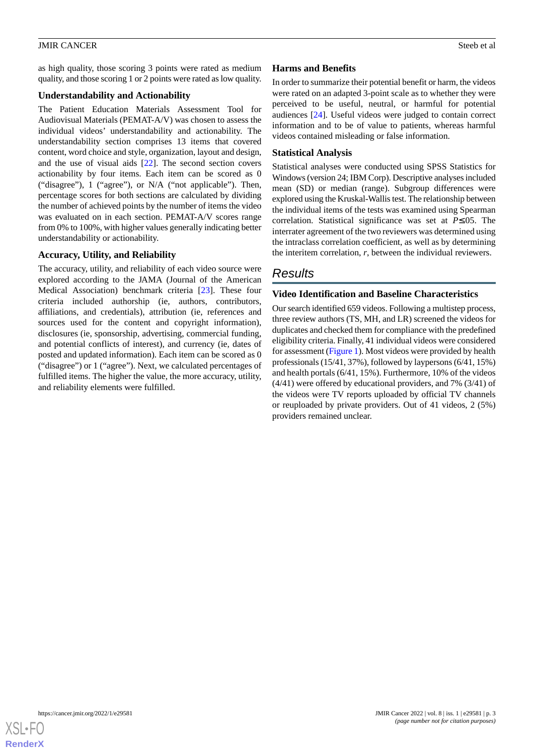as high quality, those scoring 3 points were rated as medium quality, and those scoring 1 or 2 points were rated as low quality.

### **Understandability and Actionability**

The Patient Education Materials Assessment Tool for Audiovisual Materials (PEMAT-A/V) was chosen to assess the individual videos' understandability and actionability. The understandability section comprises 13 items that covered content, word choice and style, organization, layout and design, and the use of visual aids [[22\]](#page-9-4). The second section covers actionability by four items. Each item can be scored as 0 ("disagree"), 1 ("agree"), or N/A ("not applicable"). Then, percentage scores for both sections are calculated by dividing the number of achieved points by the number of items the video was evaluated on in each section. PEMAT-A/V scores range from 0% to 100%, with higher values generally indicating better understandability or actionability.

# **Accuracy, Utility, and Reliability**

The accuracy, utility, and reliability of each video source were explored according to the JAMA (Journal of the American Medical Association) benchmark criteria [\[23](#page-9-5)]. These four criteria included authorship (ie, authors, contributors, affiliations, and credentials), attribution (ie, references and sources used for the content and copyright information), disclosures (ie, sponsorship, advertising, commercial funding, and potential conflicts of interest), and currency (ie, dates of posted and updated information). Each item can be scored as 0 ("disagree") or 1 ("agree"). Next, we calculated percentages of fulfilled items. The higher the value, the more accuracy, utility, and reliability elements were fulfilled.

### **Harms and Benefits**

In order to summarize their potential benefit or harm, the videos were rated on an adapted 3-point scale as to whether they were perceived to be useful, neutral, or harmful for potential audiences [[24\]](#page-9-6). Useful videos were judged to contain correct information and to be of value to patients, whereas harmful videos contained misleading or false information.

#### **Statistical Analysis**

Statistical analyses were conducted using SPSS Statistics for Windows (version 24; IBM Corp). Descriptive analyses included mean (SD) or median (range). Subgroup differences were explored using the Kruskal-Wallis test. The relationship between the individual items of the tests was examined using Spearman correlation. Statistical significance was set at *P*≤.05. The interrater agreement of the two reviewers was determined using the intraclass correlation coefficient, as well as by determining the interitem correlation, *r*, between the individual reviewers.

# *Results*

### **Video Identification and Baseline Characteristics**

Our search identified 659 videos. Following a multistep process, three review authors (TS, MH, and LR) screened the videos for duplicates and checked them for compliance with the predefined eligibility criteria. Finally, 41 individual videos were considered for assessment ([Figure 1\)](#page-3-0). Most videos were provided by health professionals (15/41, 37%), followed by laypersons (6/41, 15%) and health portals (6/41, 15%). Furthermore, 10% of the videos (4/41) were offered by educational providers, and 7% (3/41) of the videos were TV reports uploaded by official TV channels or reuploaded by private providers. Out of 41 videos, 2 (5%) providers remained unclear.

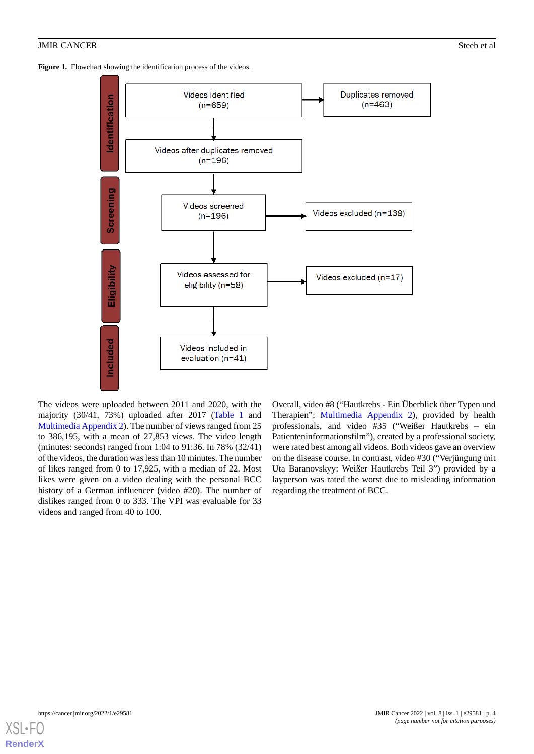<span id="page-3-0"></span>Figure 1. Flowchart showing the identification process of the videos.



The videos were uploaded between 2011 and 2020, with the majority (30/41, 73%) uploaded after 2017 ([Table 1](#page-4-0) and [Multimedia Appendix 2\)](#page-8-16). The number of views ranged from 25 to 386,195, with a mean of 27,853 views. The video length (minutes: seconds) ranged from 1:04 to 91:36. In 78% (32/41) of the videos, the duration was less than 10 minutes. The number of likes ranged from 0 to 17,925, with a median of 22. Most likes were given on a video dealing with the personal BCC history of a German influencer (video #20). The number of dislikes ranged from 0 to 333. The VPI was evaluable for 33 videos and ranged from 40 to 100.

Overall, video #8 ("Hautkrebs - Ein Überblick über Typen und Therapien"; [Multimedia Appendix 2\)](#page-8-16), provided by health professionals, and video #35 ("Weißer Hautkrebs – ein Patienteninformationsfilm"), created by a professional society, were rated best among all videos. Both videos gave an overview on the disease course. In contrast, video #30 ("Verjüngung mit Uta Baranovskyy: Weißer Hautkrebs Teil 3") provided by a layperson was rated the worst due to misleading information regarding the treatment of BCC.

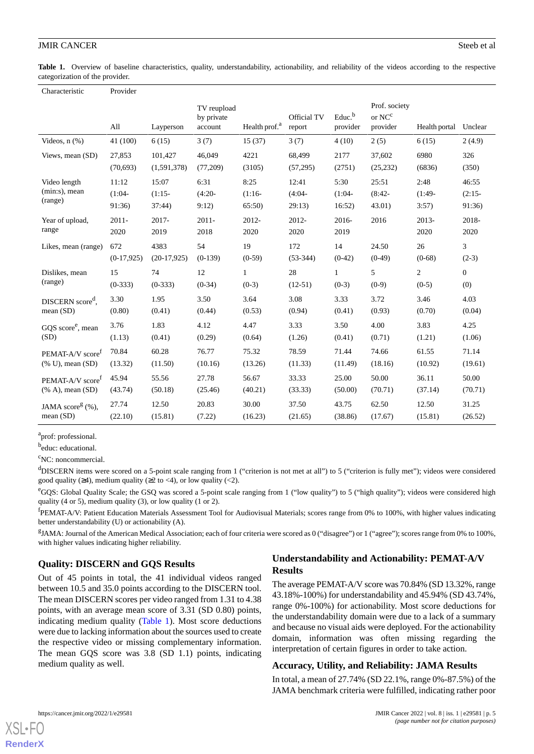<span id="page-4-0"></span>Table 1. Overview of baseline characteristics, quality, understandability, actionability, and reliability of the videos according to the respective categorization of the provider.

| Characteristic                  | Provider     |               |                                      |                           |                       |                                |                                                          |                |                  |
|---------------------------------|--------------|---------------|--------------------------------------|---------------------------|-----------------------|--------------------------------|----------------------------------------------------------|----------------|------------------|
|                                 | All          | Layperson     | TV reupload<br>by private<br>account | Health prof. <sup>a</sup> | Official TV<br>report | Educ. <sup>b</sup><br>provider | Prof. society<br>or $\mathrm{NC}^\mathrm{c}$<br>provider | Health portal  | Unclear          |
| Videos, $n$ $(\%)$              | 41 (100)     | 6(15)         | 3(7)                                 | 15(37)                    | 3(7)                  | 4(10)                          | 2(5)                                                     | 6(15)          | 2(4.9)           |
| Views, mean (SD)                | 27,853       | 101,427       | 46,049                               | 4221                      | 68,499                | 2177                           | 37,602                                                   | 6980           | 326              |
|                                 | (70,693)     | (1,591,378)   | (77,209)                             | (3105)                    | (57,295)              | (2751)                         | (25, 232)                                                | (6836)         | (350)            |
| Video length                    | 11:12        | 15:07         | 6:31                                 | 8:25                      | 12:41                 | 5:30                           | 25:51                                                    | 2:48           | 46:55            |
| $(min:s)$ , mean                | $(1:04 -$    | $(1:15-$      | $(4:20 -$                            | $(1:16-$                  | $(4:04 -$             | $(1:04 -$                      | $(8:42 -$                                                | $(1:49-$       | $(2:15-$         |
| (range)                         | 91:36)       | 37:44         | 9:12)                                | 65:50                     | 29:13)                | 16:52)                         | 43.01)                                                   | 3:57)          | 91:36)           |
| Year of upload,                 | $2011 -$     | 2017-         | 2011-                                | 2012-                     | 2012-                 | 2016-                          | 2016                                                     | 2013-          | 2018-            |
| range                           | 2020         | 2019          | 2018                                 | 2020                      | 2020                  | 2019                           |                                                          | 2020           | 2020             |
| Likes, mean (range)             | 672          | 4383          | 54                                   | 19                        | 172                   | 14                             | 24.50                                                    | 26             | 3                |
|                                 | $(0-17,925)$ | $(20-17,925)$ | $(0-139)$                            | $(0-59)$                  | $(53-344)$            | $(0-42)$                       | $(0-49)$                                                 | $(0-68)$       | $(2-3)$          |
| Dislikes, mean                  | 15           | 74            | 12                                   | $\mathbf{1}$              | 28                    | $\mathbf{1}$                   | 5                                                        | $\overline{c}$ | $\boldsymbol{0}$ |
| (range)                         | $(0-333)$    | $(0-333)$     | $(0-34)$                             | $(0-3)$                   | $(12-51)$             | $(0-3)$                        | $(0-9)$                                                  | $(0-5)$        | (0)              |
| DISCERN score <sup>d</sup> ,    | 3.30         | 1.95          | 3.50                                 | 3.64                      | 3.08                  | 3.33                           | 3.72                                                     | 3.46           | 4.03             |
| mean(SD)                        | (0.80)       | (0.41)        | (0.44)                               | (0.53)                    | (0.94)                | (0.41)                         | (0.93)                                                   | (0.70)         | (0.04)           |
| GQS score <sup>e</sup> , mean   | 3.76         | 1.83          | 4.12                                 | 4.47                      | 3.33                  | 3.50                           | 4.00                                                     | 3.83           | 4.25             |
| (SD)                            | (1.13)       | (0.41)        | (0.29)                               | (0.64)                    | (1.26)                | (0.41)                         | (0.71)                                                   | (1.21)         | (1.06)           |
| PEMAT-A/V score <sup>f</sup>    | 70.84        | 60.28         | 76.77                                | 75.32                     | 78.59                 | 71.44                          | 74.66                                                    | 61.55          | 71.14            |
| (% U), mean (SD)                | (13.32)      | (11.50)       | (10.16)                              | (13.26)                   | (11.33)               | (11.49)                        | (18.16)                                                  | (10.92)        | (19.61)          |
| PEMAT-A/V score <sup>f</sup>    | 45.94        | 55.56         | 27.78                                | 56.67                     | 33.33                 | 25.00                          | 50.00                                                    | 36.11          | 50.00            |
| $(\% A)$ , mean $(SD)$          | (43.74)      | (50.18)       | (25.46)                              | (40.21)                   | (33.33)               | (50.00)                        | (70.71)                                                  | (37.14)        | (70.71)          |
| JAMA score <sup>g</sup> $(\%),$ | 27.74        | 12.50         | 20.83                                | 30.00                     | 37.50                 | 43.75                          | 62.50                                                    | 12.50          | 31.25            |
| mean (SD)                       | (22.10)      | (15.81)       | (7.22)                               | (16.23)                   | (21.65)               | (38.86)                        | (17.67)                                                  | (15.81)        | (26.52)          |

<sup>a</sup>prof: professional.

<sup>b</sup>educ: educational.

<sup>c</sup>NC: noncommercial.

<sup>d</sup>DISCERN items were scored on a 5-point scale ranging from 1 ("criterion is not met at all") to 5 ("criterion is fully met"); videos were considered good quality ( $\geq 4$ ), medium quality ( $\geq 2$  to  $\lt 4$ ), or low quality ( $\lt 2$ ).

<sup>e</sup>GQS: Global Quality Scale; the GSQ was scored a 5-point scale ranging from 1 ("low quality") to 5 ("high quality"); videos were considered high quality (4 or 5), medium quality (3), or low quality (1 or 2).

<sup>f</sup>PEMAT-A/V: Patient Education Materials Assessment Tool for Audiovisual Materials; scores range from 0% to 100%, with higher values indicating better understandability (U) or actionability (A).

<sup>g</sup>JAMA: Journal of the American Medical Association; each of four criteria were scored as 0 ("disagree") or 1 ("agree"); scores range from 0% to 100%, with higher values indicating higher reliability.

# **Quality: DISCERN and GQS Results**

Out of 45 points in total, the 41 individual videos ranged between 10.5 and 35.0 points according to the DISCERN tool. The mean DISCERN scores per video ranged from 1.31 to 4.38 points, with an average mean score of 3.31 (SD 0.80) points, indicating medium quality [\(Table 1](#page-4-0)). Most score deductions were due to lacking information about the sources used to create the respective video or missing complementary information. The mean GQS score was 3.8 (SD 1.1) points, indicating medium quality as well.

# **Understandability and Actionability: PEMAT-A/V Results**

The average PEMAT-A/V score was 70.84% (SD 13.32%, range 43.18%-100%) for understandability and 45.94% (SD 43.74%, range 0%-100%) for actionability. Most score deductions for the understandability domain were due to a lack of a summary and because no visual aids were deployed. For the actionability domain, information was often missing regarding the interpretation of certain figures in order to take action.

#### **Accuracy, Utility, and Reliability: JAMA Results**

In total, a mean of 27.74% (SD 22.1%, range 0%-87.5%) of the JAMA benchmark criteria were fulfilled, indicating rather poor

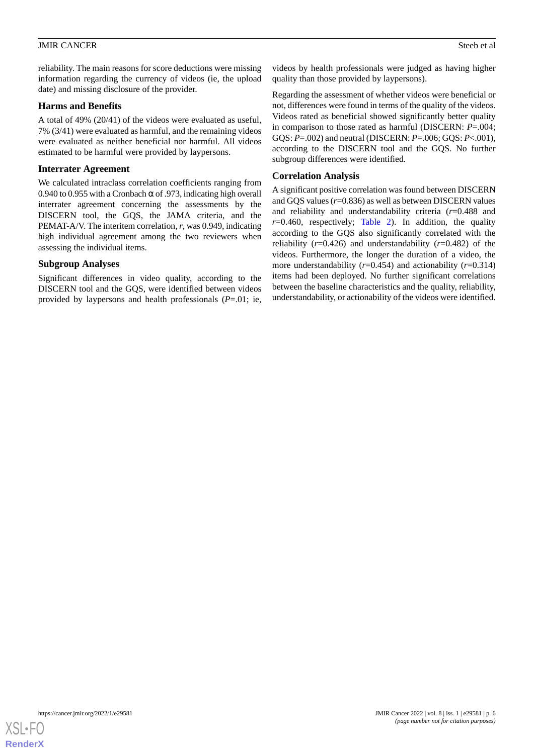reliability. The main reasons for score deductions were missing information regarding the currency of videos (ie, the upload date) and missing disclosure of the provider.

#### **Harms and Benefits**

A total of 49% (20/41) of the videos were evaluated as useful, 7% (3/41) were evaluated as harmful, and the remaining videos were evaluated as neither beneficial nor harmful. All videos estimated to be harmful were provided by laypersons.

#### **Interrater Agreement**

We calculated intraclass correlation coefficients ranging from 0.940 to 0.955 with a Cronbach  $\alpha$  of .973, indicating high overall interrater agreement concerning the assessments by the DISCERN tool, the GQS, the JAMA criteria, and the PEMAT-A/V. The interitem correlation, *r*, was 0.949, indicating high individual agreement among the two reviewers when assessing the individual items.

### **Subgroup Analyses**

Significant differences in video quality, according to the DISCERN tool and the GQS, were identified between videos provided by laypersons and health professionals (*P*=.01; ie, videos by health professionals were judged as having higher quality than those provided by laypersons).

Regarding the assessment of whether videos were beneficial or not, differences were found in terms of the quality of the videos. Videos rated as beneficial showed significantly better quality in comparison to those rated as harmful (DISCERN: *P*=.004; GQS: *P*=.002) and neutral (DISCERN: *P*=.006; GQS: *P*<.001), according to the DISCERN tool and the GQS. No further subgroup differences were identified.

# **Correlation Analysis**

A significant positive correlation was found between DISCERN and GQS values (*r*=0.836) as well as between DISCERN values and reliability and understandability criteria (*r*=0.488 and  $r=0.460$ , respectively; [Table 2](#page-6-0)). In addition, the quality according to the GQS also significantly correlated with the reliability  $(r=0.426)$  and understandability  $(r=0.482)$  of the videos. Furthermore, the longer the duration of a video, the more understandability  $(r=0.454)$  and actionability  $(r=0.314)$ items had been deployed. No further significant correlations between the baseline characteristics and the quality, reliability, understandability, or actionability of the videos were identified.

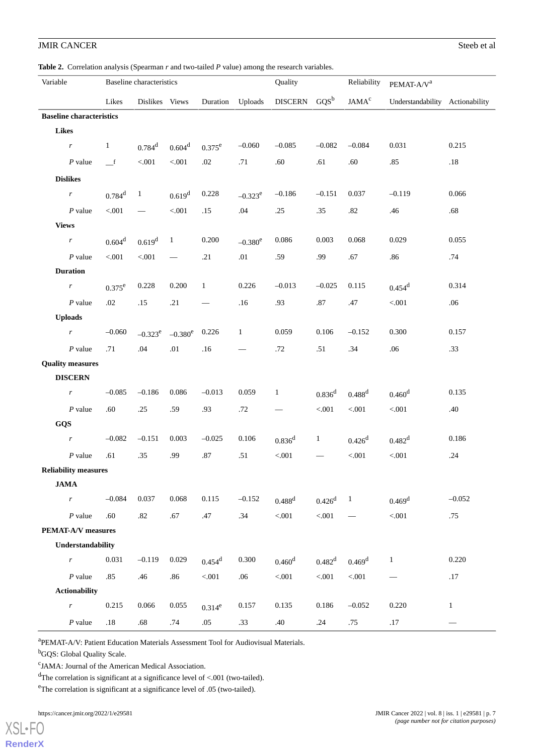<span id="page-6-0"></span>**Table 2.** Correlation analysis (Spearman *r* and two-tailed *P* value) among the research variables.

| Variable                        |                             | Baseline characteristics |                      |                    |                      | Quality      |                           | Reliability        | PEMAT-A/V <sup>a</sup> |                                 |              |
|---------------------------------|-----------------------------|--------------------------|----------------------|--------------------|----------------------|--------------|---------------------------|--------------------|------------------------|---------------------------------|--------------|
|                                 |                             | Likes                    | Dislikes Views       |                    | Duration             | Uploads      | $GQS^b$<br><b>DISCERN</b> |                    | $JAMA^c$               | Understandability Actionability |              |
| <b>Baseline characteristics</b> |                             |                          |                      |                    |                      |              |                           |                    |                        |                                 |              |
| <b>Likes</b>                    |                             |                          |                      |                    |                      |              |                           |                    |                        |                                 |              |
|                                 | r                           | $\mathbf{1}$             | $0.784$ <sup>d</sup> | 0.604 <sup>d</sup> | $0.375^e$            | $-0.060$     | $-0.085$                  | $-0.082$           | $-0.084$               | 0.031                           | 0.215        |
|                                 | $P$ value                   | $\mathbf{I}$             | $< 001$              | $< 001$            | $.02\,$              | .71          | .60                       | .61                | .60                    | .85                             | .18          |
|                                 | <b>Dislikes</b>             |                          |                      |                    |                      |              |                           |                    |                        |                                 |              |
|                                 | $\boldsymbol{r}$            | $0.784$ <sup>d</sup>     | $\mathbf{1}$         | 0.619 <sup>d</sup> | 0.228                | $-0.323^e$   | $-0.186$                  | $-0.151$           | 0.037                  | $-0.119$                        | 0.066        |
|                                 | $P$ value                   | $<\!\!.001$              |                      | < 0.001            | .15                  | .04          | .25                       | .35                | $.82\,$                | .46                             | .68          |
| <b>Views</b>                    |                             |                          |                      |                    |                      |              |                           |                    |                        |                                 |              |
|                                 | r                           | $0.604^d$                | 0.619 <sup>d</sup>   | $\mathbf{1}$       | 0.200                | $-0.380^e$   | 0.086                     | 0.003              | 0.068                  | 0.029                           | 0.055        |
|                                 | $P$ value                   | $< 001$                  | $< 001$              |                    | .21                  | .01          | .59                       | .99                | .67                    | .86                             | .74          |
|                                 | <b>Duration</b>             |                          |                      |                    |                      |              |                           |                    |                        |                                 |              |
|                                 | $\boldsymbol{r}$            | $0.375^e$                | 0.228                | 0.200              | $\mathbf{1}$         | 0.226        | $-0.013$                  | $-0.025$           | 0.115                  | $0.454$ <sup>d</sup>            | 0.314        |
|                                 | $P$ value                   | .02                      | .15                  | .21                |                      | .16          | .93                       | .87                | .47                    | < 0.001                         | .06          |
| <b>Uploads</b>                  |                             |                          |                      |                    |                      |              |                           |                    |                        |                                 |              |
|                                 | r                           | $-0.060$                 | $-0.323^e$           | $-0.380^e$         | 0.226                | $\mathbf{1}$ | 0.059                     | 0.106              | $-0.152$               | 0.300                           | 0.157        |
|                                 | $P$ value                   | .71                      | .04                  | .01                | .16                  |              | .72                       | .51                | .34                    | .06                             | .33          |
| <b>Quality measures</b>         |                             |                          |                      |                    |                      |              |                           |                    |                        |                                 |              |
|                                 | <b>DISCERN</b>              |                          |                      |                    |                      |              |                           |                    |                        |                                 |              |
|                                 | r                           | $-0.085$                 | $-0.186$             | 0.086              | $-0.013$             | 0.059        | $\mathbf{1}$              | 0.836 <sup>d</sup> | $0.488$ <sup>d</sup>   | 0.460 <sup>d</sup>              | 0.135        |
|                                 | $P$ value                   | .60                      | .25                  | .59                | .93                  | .72          |                           | < 0.001            | < 0.001                | $< 001$                         | .40          |
| GQS                             |                             |                          |                      |                    |                      |              |                           |                    |                        |                                 |              |
|                                 | r                           | $-0.082$                 | $-0.151$             | 0.003              | $-0.025$             | 0.106        | $0.836$ <sup>d</sup>      | $\mathbf{1}$       | $0.426$ <sup>d</sup>   | 0.482 <sup>d</sup>              | 0.186        |
|                                 | $P$ value                   | .61                      | .35                  | .99                | $.87\,$              | .51          | $< 001$                   |                    | $< 001$                | $< 001$                         | .24          |
|                                 | <b>Reliability measures</b> |                          |                      |                    |                      |              |                           |                    |                        |                                 |              |
|                                 | <b>JAMA</b>                 |                          |                      |                    |                      |              |                           |                    |                        |                                 |              |
|                                 | $\boldsymbol{r}$            | $-0.084$                 | 0.037                | 0.068              | 0.115                | $-0.152$     | $0.488$ <sup>d</sup>      | $0.426^d$          | $\mathbf{1}$           | $0.469$ <sup>d</sup>            | $-0.052$     |
|                                 | $P$ value                   | .60                      | .82                  | .67                | .47                  | .34          | $< 001$                   | $< 001$            |                        | < 0.01                          | .75          |
| <b>PEMAT-A/V</b> measures       |                             |                          |                      |                    |                      |              |                           |                    |                        |                                 |              |
| Understandability               |                             |                          |                      |                    |                      |              |                           |                    |                        |                                 |              |
|                                 | $\boldsymbol{r}$            | 0.031                    | $-0.119$             | 0.029              | $0.454$ <sup>d</sup> | 0.300        | 0.460 <sup>d</sup>        | 0.482 <sup>d</sup> | $0.469$ <sup>d</sup>   | $\mathbf{1}$                    | 0.220        |
|                                 | $P$ value                   | .85                      | .46                  | .86                | $< 001$              | .06          | $< 001$                   | < 0.01             | $< 001$                | $\overbrace{\phantom{13333}}$   | .17          |
|                                 | <b>Actionability</b>        |                          |                      |                    |                      |              |                           |                    |                        |                                 |              |
|                                 | $\boldsymbol{r}$            | 0.215                    | 0.066                | 0.055              | $0.314^e$            | 0.157        | 0.135                     | 0.186              | $-0.052$               | 0.220                           | $\mathbf{1}$ |
|                                 | $P$ value                   | $.18\,$                  | .68                  | .74                | .05                  | .33          | .40                       | .24                | .75                    | .17                             |              |

<sup>a</sup>PEMAT-A/V: Patient Education Materials Assessment Tool for Audiovisual Materials.

<sup>b</sup>GQS: Global Quality Scale.

<sup>c</sup>JAMA: Journal of the American Medical Association.

<sup>d</sup>The correlation is significant at a significance level of <.001 (two-tailed).

<sup>e</sup>The correlation is significant at a significance level of .05 (two-tailed).

https://cancer.jmir.org/2022/1/e29581 JMIR Cancer 2022 | vol. 8 | iss. 1 | e29581 | p. 7

[XSL](http://www.w3.org/Style/XSL)•FO **[RenderX](http://www.renderx.com/)**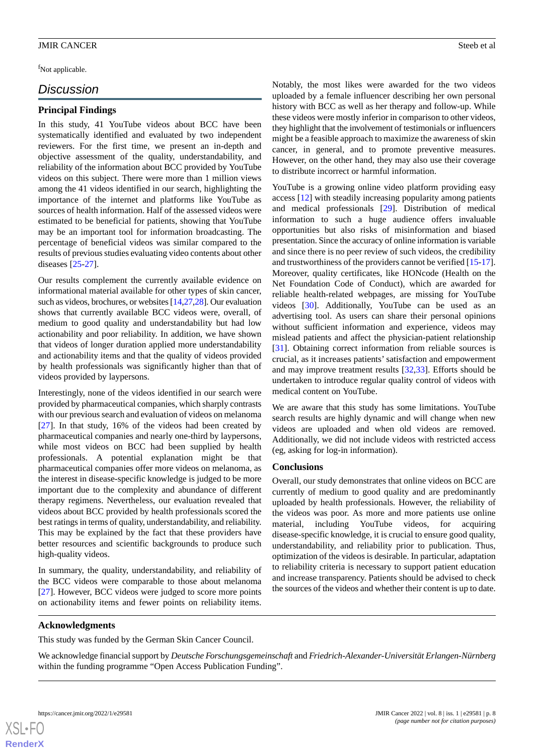<sup>f</sup>Not applicable.

# *Discussion*

#### **Principal Findings**

In this study, 41 YouTube videos about BCC have been systematically identified and evaluated by two independent reviewers. For the first time, we present an in-depth and objective assessment of the quality, understandability, and reliability of the information about BCC provided by YouTube videos on this subject. There were more than 1 million views among the 41 videos identified in our search, highlighting the importance of the internet and platforms like YouTube as sources of health information. Half of the assessed videos were estimated to be beneficial for patients, showing that YouTube may be an important tool for information broadcasting. The percentage of beneficial videos was similar compared to the results of previous studies evaluating video contents about other diseases [\[25](#page-9-7)[-27](#page-9-8)].

Our results complement the currently available evidence on informational material available for other types of skin cancer, such as videos, brochures, or websites [\[14](#page-8-12)[,27](#page-9-8)[,28](#page-9-9)]. Our evaluation shows that currently available BCC videos were, overall, of medium to good quality and understandability but had low actionability and poor reliability. In addition, we have shown that videos of longer duration applied more understandability and actionability items and that the quality of videos provided by health professionals was significantly higher than that of videos provided by laypersons.

Interestingly, none of the videos identified in our search were provided by pharmaceutical companies, which sharply contrasts with our previous search and evaluation of videos on melanoma [[27\]](#page-9-8). In that study, 16% of the videos had been created by pharmaceutical companies and nearly one-third by laypersons, while most videos on BCC had been supplied by health professionals. A potential explanation might be that pharmaceutical companies offer more videos on melanoma, as the interest in disease-specific knowledge is judged to be more important due to the complexity and abundance of different therapy regimens. Nevertheless, our evaluation revealed that videos about BCC provided by health professionals scored the best ratings in terms of quality, understandability, and reliability. This may be explained by the fact that these providers have better resources and scientific backgrounds to produce such high-quality videos.

In summary, the quality, understandability, and reliability of the BCC videos were comparable to those about melanoma [[27\]](#page-9-8). However, BCC videos were judged to score more points on actionability items and fewer points on reliability items.

Notably, the most likes were awarded for the two videos uploaded by a female influencer describing her own personal history with BCC as well as her therapy and follow-up. While these videos were mostly inferior in comparison to other videos, they highlight that the involvement of testimonials or influencers might be a feasible approach to maximize the awareness of skin cancer, in general, and to promote preventive measures. However, on the other hand, they may also use their coverage to distribute incorrect or harmful information.

YouTube is a growing online video platform providing easy access [\[12](#page-8-10)] with steadily increasing popularity among patients and medical professionals [\[29](#page-9-10)]. Distribution of medical information to such a huge audience offers invaluable opportunities but also risks of misinformation and biased presentation. Since the accuracy of online information is variable and since there is no peer review of such videos, the credibility and trustworthiness of the providers cannot be verified [[15-](#page-8-13)[17\]](#page-8-14). Moreover, quality certificates, like HONcode (Health on the Net Foundation Code of Conduct), which are awarded for reliable health-related webpages, are missing for YouTube videos [\[30](#page-9-11)]. Additionally, YouTube can be used as an advertising tool. As users can share their personal opinions without sufficient information and experience, videos may mislead patients and affect the physician-patient relationship [[31\]](#page-9-12). Obtaining correct information from reliable sources is crucial, as it increases patients'satisfaction and empowerment and may improve treatment results [\[32](#page-9-13),[33\]](#page-9-14). Efforts should be undertaken to introduce regular quality control of videos with medical content on YouTube.

We are aware that this study has some limitations. YouTube search results are highly dynamic and will change when new videos are uploaded and when old videos are removed. Additionally, we did not include videos with restricted access (eg, asking for log-in information).

#### **Conclusions**

Overall, our study demonstrates that online videos on BCC are currently of medium to good quality and are predominantly uploaded by health professionals. However, the reliability of the videos was poor. As more and more patients use online material, including YouTube videos, for acquiring disease-specific knowledge, it is crucial to ensure good quality, understandability, and reliability prior to publication. Thus, optimization of the videos is desirable. In particular, adaptation to reliability criteria is necessary to support patient education and increase transparency. Patients should be advised to check the sources of the videos and whether their content is up to date.

#### **Acknowledgments**

This study was funded by the German Skin Cancer Council.

We acknowledge financial support by *Deutsche Forschungsgemeinschaft* and *Friedrich-Alexander-Universität Erlangen-Nürnberg* within the funding programme "Open Access Publication Funding".

```
XS-FO
RenderX
```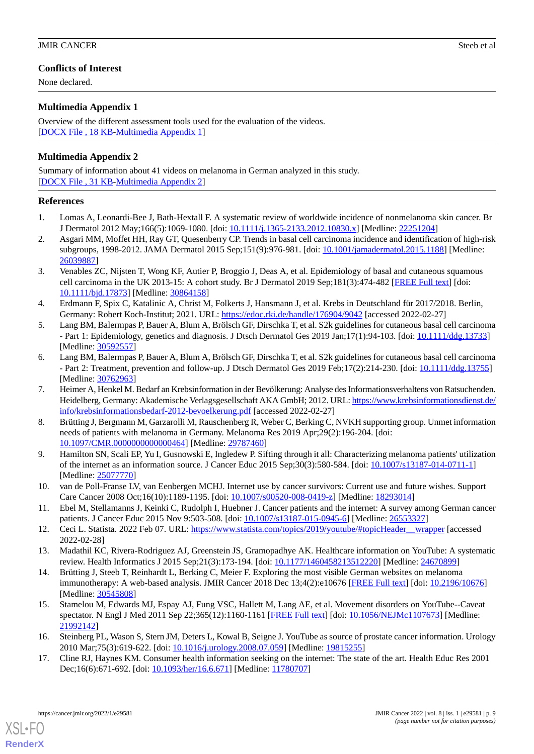# **Conflicts of Interest**

None declared.

# <span id="page-8-15"></span>**Multimedia Appendix 1**

Overview of the different assessment tools used for the evaluation of the videos. [[DOCX File , 18 KB](https://jmir.org/api/download?alt_name=cancer_v8i1e29581_app1.docx&filename=f45d4d3c96d6067c1c757395f6160c40.docx)-[Multimedia Appendix 1\]](https://jmir.org/api/download?alt_name=cancer_v8i1e29581_app1.docx&filename=f45d4d3c96d6067c1c757395f6160c40.docx)

# <span id="page-8-16"></span>**Multimedia Appendix 2**

Summary of information about 41 videos on melanoma in German analyzed in this study. [[DOCX File , 31 KB](https://jmir.org/api/download?alt_name=cancer_v8i1e29581_app2.docx&filename=153278b14747dcaacd7dbea8c217d3e8.docx)-[Multimedia Appendix 2\]](https://jmir.org/api/download?alt_name=cancer_v8i1e29581_app2.docx&filename=153278b14747dcaacd7dbea8c217d3e8.docx)

### <span id="page-8-0"></span>**References**

- <span id="page-8-1"></span>1. Lomas A, Leonardi-Bee J, Bath-Hextall F. A systematic review of worldwide incidence of nonmelanoma skin cancer. Br J Dermatol 2012 May;166(5):1069-1080. [doi: [10.1111/j.1365-2133.2012.10830.x](http://dx.doi.org/10.1111/j.1365-2133.2012.10830.x)] [Medline: [22251204](http://www.ncbi.nlm.nih.gov/entrez/query.fcgi?cmd=Retrieve&db=PubMed&list_uids=22251204&dopt=Abstract)]
- <span id="page-8-2"></span>2. Asgari MM, Moffet HH, Ray GT, Quesenberry CP. Trends in basal cell carcinoma incidence and identification of high-risk subgroups, 1998-2012. JAMA Dermatol 2015 Sep;151(9):976-981. [doi: [10.1001/jamadermatol.2015.1188](http://dx.doi.org/10.1001/jamadermatol.2015.1188)] [Medline: [26039887](http://www.ncbi.nlm.nih.gov/entrez/query.fcgi?cmd=Retrieve&db=PubMed&list_uids=26039887&dopt=Abstract)]
- <span id="page-8-3"></span>3. Venables ZC, Nijsten T, Wong KF, Autier P, Broggio J, Deas A, et al. Epidemiology of basal and cutaneous squamous cell carcinoma in the UK 2013-15: A cohort study. Br J Dermatol 2019 Sep;181(3):474-482 [[FREE Full text](http://europepmc.org/abstract/MED/30864158)] [doi: [10.1111/bjd.17873](http://dx.doi.org/10.1111/bjd.17873)] [Medline: [30864158\]](http://www.ncbi.nlm.nih.gov/entrez/query.fcgi?cmd=Retrieve&db=PubMed&list_uids=30864158&dopt=Abstract)
- <span id="page-8-4"></span>4. Erdmann F, Spix C, Katalinic A, Christ M, Folkerts J, Hansmann J, et al. Krebs in Deutschland für 2017/2018. Berlin, Germany: Robert Koch-Institut; 2021. URL:<https://edoc.rki.de/handle/176904/9042> [accessed 2022-02-27]
- <span id="page-8-5"></span>5. Lang BM, Balermpas P, Bauer A, Blum A, Brölsch GF, Dirschka T, et al. S2k guidelines for cutaneous basal cell carcinoma - Part 1: Epidemiology, genetics and diagnosis. J Dtsch Dermatol Ges 2019 Jan;17(1):94-103. [doi: [10.1111/ddg.13733](http://dx.doi.org/10.1111/ddg.13733)] [Medline: [30592557](http://www.ncbi.nlm.nih.gov/entrez/query.fcgi?cmd=Retrieve&db=PubMed&list_uids=30592557&dopt=Abstract)]
- <span id="page-8-6"></span>6. Lang BM, Balermpas P, Bauer A, Blum A, Brölsch GF, Dirschka T, et al. S2k guidelines for cutaneous basal cell carcinoma - Part 2: Treatment, prevention and follow-up. J Dtsch Dermatol Ges 2019 Feb;17(2):214-230. [doi: [10.1111/ddg.13755\]](http://dx.doi.org/10.1111/ddg.13755) [Medline: [30762963](http://www.ncbi.nlm.nih.gov/entrez/query.fcgi?cmd=Retrieve&db=PubMed&list_uids=30762963&dopt=Abstract)]
- <span id="page-8-7"></span>7. Heimer A, Henkel M. Bedarf an Krebsinformation in der Bevölkerung: Analyse des Informationsverhaltens von Ratsuchenden. Heidelberg, Germany: Akademische Verlagsgesellschaft AKA GmbH; 2012. URL: [https://www.krebsinformationsdienst.de/](https://www.krebsinformationsdienst.de/info/krebsinformationsbedarf-2012-bevoelkerung.pdf) [info/krebsinformationsbedarf-2012-bevoelkerung.pdf](https://www.krebsinformationsdienst.de/info/krebsinformationsbedarf-2012-bevoelkerung.pdf) [accessed 2022-02-27]
- <span id="page-8-8"></span>8. Brütting J, Bergmann M, Garzarolli M, Rauschenberg R, Weber C, Berking C, NVKH supporting group. Unmet information needs of patients with melanoma in Germany. Melanoma Res 2019 Apr;29(2):196-204. [doi: [10.1097/CMR.0000000000000464](http://dx.doi.org/10.1097/CMR.0000000000000464)] [Medline: [29787460](http://www.ncbi.nlm.nih.gov/entrez/query.fcgi?cmd=Retrieve&db=PubMed&list_uids=29787460&dopt=Abstract)]
- <span id="page-8-9"></span>9. Hamilton SN, Scali EP, Yu I, Gusnowski E, Ingledew P. Sifting through it all: Characterizing melanoma patients' utilization of the internet as an information source. J Cancer Educ 2015 Sep;30(3):580-584. [doi: [10.1007/s13187-014-0711-1\]](http://dx.doi.org/10.1007/s13187-014-0711-1) [Medline: [25077770](http://www.ncbi.nlm.nih.gov/entrez/query.fcgi?cmd=Retrieve&db=PubMed&list_uids=25077770&dopt=Abstract)]
- <span id="page-8-11"></span><span id="page-8-10"></span>10. van de Poll-Franse LV, van Eenbergen MCHJ. Internet use by cancer survivors: Current use and future wishes. Support Care Cancer 2008 Oct;16(10):1189-1195. [doi: [10.1007/s00520-008-0419-z](http://dx.doi.org/10.1007/s00520-008-0419-z)] [Medline: [18293014\]](http://www.ncbi.nlm.nih.gov/entrez/query.fcgi?cmd=Retrieve&db=PubMed&list_uids=18293014&dopt=Abstract)
- <span id="page-8-12"></span>11. Ebel M, Stellamanns J, Keinki C, Rudolph I, Huebner J. Cancer patients and the internet: A survey among German cancer patients. J Cancer Educ 2015 Nov 9:503-508. [doi: [10.1007/s13187-015-0945-6\]](http://dx.doi.org/10.1007/s13187-015-0945-6) [Medline: [26553327](http://www.ncbi.nlm.nih.gov/entrez/query.fcgi?cmd=Retrieve&db=PubMed&list_uids=26553327&dopt=Abstract)]
- 12. Ceci L. Statista. 2022 Feb 07. URL: https://www.statista.com/topics/2019/youtube/#topicHeader\_wrapper [accessed] 2022-02-28]
- <span id="page-8-13"></span>13. Madathil KC, Rivera-Rodriguez AJ, Greenstein JS, Gramopadhye AK. Healthcare information on YouTube: A systematic review. Health Informatics J 2015 Sep;21(3):173-194. [doi: [10.1177/1460458213512220\]](http://dx.doi.org/10.1177/1460458213512220) [Medline: [24670899](http://www.ncbi.nlm.nih.gov/entrez/query.fcgi?cmd=Retrieve&db=PubMed&list_uids=24670899&dopt=Abstract)]
- 14. Brütting J, Steeb T, Reinhardt L, Berking C, Meier F. Exploring the most visible German websites on melanoma immunotherapy: A web-based analysis. JMIR Cancer 2018 Dec 13;4(2):e10676 [[FREE Full text](https://cancer.jmir.org/2018/2/e10676/)] [doi: [10.2196/10676\]](http://dx.doi.org/10.2196/10676) [Medline: [30545808](http://www.ncbi.nlm.nih.gov/entrez/query.fcgi?cmd=Retrieve&db=PubMed&list_uids=30545808&dopt=Abstract)]
- <span id="page-8-14"></span>15. Stamelou M, Edwards MJ, Espay AJ, Fung VSC, Hallett M, Lang AE, et al. Movement disorders on YouTube--Caveat spectator. N Engl J Med 2011 Sep 22;365(12):1160-1161 [[FREE Full text](http://europepmc.org/abstract/MED/21992142)] [doi: [10.1056/NEJMc1107673](http://dx.doi.org/10.1056/NEJMc1107673)] [Medline: [21992142](http://www.ncbi.nlm.nih.gov/entrez/query.fcgi?cmd=Retrieve&db=PubMed&list_uids=21992142&dopt=Abstract)]
- 16. Steinberg PL, Wason S, Stern JM, Deters L, Kowal B, Seigne J. YouTube as source of prostate cancer information. Urology 2010 Mar;75(3):619-622. [doi: [10.1016/j.urology.2008.07.059](http://dx.doi.org/10.1016/j.urology.2008.07.059)] [Medline: [19815255\]](http://www.ncbi.nlm.nih.gov/entrez/query.fcgi?cmd=Retrieve&db=PubMed&list_uids=19815255&dopt=Abstract)
- 17. Cline RJ, Haynes KM. Consumer health information seeking on the internet: The state of the art. Health Educ Res 2001 Dec;16(6):671-692. [doi: [10.1093/her/16.6.671](http://dx.doi.org/10.1093/her/16.6.671)] [Medline: [11780707](http://www.ncbi.nlm.nih.gov/entrez/query.fcgi?cmd=Retrieve&db=PubMed&list_uids=11780707&dopt=Abstract)]

[XSL](http://www.w3.org/Style/XSL)•FO **[RenderX](http://www.renderx.com/)**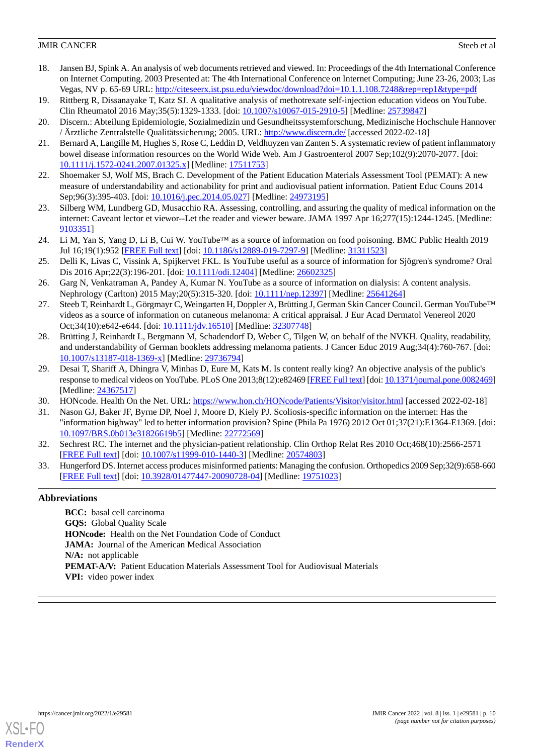- <span id="page-9-0"></span>18. Jansen BJ, Spink A. An analysis of web documents retrieved and viewed. In: Proceedings of the 4th International Conference on Internet Computing. 2003 Presented at: The 4th International Conference on Internet Computing; June 23-26, 2003; Las Vegas, NV p. 65-69 URL:<http://citeseerx.ist.psu.edu/viewdoc/download?doi=10.1.1.108.7248&rep=rep1&type=pdf>
- <span id="page-9-2"></span><span id="page-9-1"></span>19. Rittberg R, Dissanayake T, Katz SJ. A qualitative analysis of methotrexate self-injection education videos on YouTube. Clin Rheumatol 2016 May;35(5):1329-1333. [doi: [10.1007/s10067-015-2910-5\]](http://dx.doi.org/10.1007/s10067-015-2910-5) [Medline: [25739847](http://www.ncbi.nlm.nih.gov/entrez/query.fcgi?cmd=Retrieve&db=PubMed&list_uids=25739847&dopt=Abstract)]
- <span id="page-9-3"></span>20. Discern.: Abteilung Epidemiologie, Sozialmedizin und Gesundheitssystemforschung, Medizinische Hochschule Hannover / Ärztliche Zentralstelle Qualitätssicherung; 2005. URL:<http://www.discern.de/> [accessed 2022-02-18]
- <span id="page-9-4"></span>21. Bernard A, Langille M, Hughes S, Rose C, Leddin D, Veldhuyzen van Zanten S. A systematic review of patient inflammatory bowel disease information resources on the World Wide Web. Am J Gastroenterol 2007 Sep;102(9):2070-2077. [doi: [10.1111/j.1572-0241.2007.01325.x\]](http://dx.doi.org/10.1111/j.1572-0241.2007.01325.x) [Medline: [17511753\]](http://www.ncbi.nlm.nih.gov/entrez/query.fcgi?cmd=Retrieve&db=PubMed&list_uids=17511753&dopt=Abstract)
- <span id="page-9-5"></span>22. Shoemaker SJ, Wolf MS, Brach C. Development of the Patient Education Materials Assessment Tool (PEMAT): A new measure of understandability and actionability for print and audiovisual patient information. Patient Educ Couns 2014 Sep;96(3):395-403. [doi: [10.1016/j.pec.2014.05.027](http://dx.doi.org/10.1016/j.pec.2014.05.027)] [Medline: [24973195](http://www.ncbi.nlm.nih.gov/entrez/query.fcgi?cmd=Retrieve&db=PubMed&list_uids=24973195&dopt=Abstract)]
- <span id="page-9-6"></span>23. Silberg WM, Lundberg GD, Musacchio RA. Assessing, controlling, and assuring the quality of medical information on the internet: Caveant lector et viewor--Let the reader and viewer beware. JAMA 1997 Apr 16;277(15):1244-1245. [Medline: [9103351\]](http://www.ncbi.nlm.nih.gov/entrez/query.fcgi?cmd=Retrieve&db=PubMed&list_uids=9103351&dopt=Abstract)
- <span id="page-9-7"></span>24. Li M, Yan S, Yang D, Li B, Cui W. YouTube™ as a source of information on food poisoning. BMC Public Health 2019 Jul 16;19(1):952 [[FREE Full text](https://bmcpublichealth.biomedcentral.com/articles/10.1186/s12889-019-7297-9)] [doi: [10.1186/s12889-019-7297-9](http://dx.doi.org/10.1186/s12889-019-7297-9)] [Medline: [31311523](http://www.ncbi.nlm.nih.gov/entrez/query.fcgi?cmd=Retrieve&db=PubMed&list_uids=31311523&dopt=Abstract)]
- 25. Delli K, Livas C, Vissink A, Spijkervet FKL. Is YouTube useful as a source of information for Sjögren's syndrome? Oral Dis 2016 Apr;22(3):196-201. [doi: [10.1111/odi.12404\]](http://dx.doi.org/10.1111/odi.12404) [Medline: [26602325](http://www.ncbi.nlm.nih.gov/entrez/query.fcgi?cmd=Retrieve&db=PubMed&list_uids=26602325&dopt=Abstract)]
- <span id="page-9-8"></span>26. Garg N, Venkatraman A, Pandey A, Kumar N. YouTube as a source of information on dialysis: A content analysis. Nephrology (Carlton) 2015 May;20(5):315-320. [doi: [10.1111/nep.12397\]](http://dx.doi.org/10.1111/nep.12397) [Medline: [25641264\]](http://www.ncbi.nlm.nih.gov/entrez/query.fcgi?cmd=Retrieve&db=PubMed&list_uids=25641264&dopt=Abstract)
- <span id="page-9-9"></span>27. Steeb T, Reinhardt L, Görgmayr C, Weingarten H, Doppler A, Brütting J, German Skin Cancer Council. German YouTube™ videos as a source of information on cutaneous melanoma: A critical appraisal. J Eur Acad Dermatol Venereol 2020 Oct;34(10):e642-e644. [doi: [10.1111/jdv.16510\]](http://dx.doi.org/10.1111/jdv.16510) [Medline: [32307748](http://www.ncbi.nlm.nih.gov/entrez/query.fcgi?cmd=Retrieve&db=PubMed&list_uids=32307748&dopt=Abstract)]
- <span id="page-9-10"></span>28. Brütting J, Reinhardt L, Bergmann M, Schadendorf D, Weber C, Tilgen W, on behalf of the NVKH. Quality, readability, and understandability of German booklets addressing melanoma patients. J Cancer Educ 2019 Aug;34(4):760-767. [doi: [10.1007/s13187-018-1369-x\]](http://dx.doi.org/10.1007/s13187-018-1369-x) [Medline: [29736794](http://www.ncbi.nlm.nih.gov/entrez/query.fcgi?cmd=Retrieve&db=PubMed&list_uids=29736794&dopt=Abstract)]
- <span id="page-9-12"></span><span id="page-9-11"></span>29. Desai T, Shariff A, Dhingra V, Minhas D, Eure M, Kats M. Is content really king? An objective analysis of the public's response to medical videos on YouTube. PLoS One 2013;8(12):e82469 [[FREE Full text\]](http://dx.plos.org/10.1371/journal.pone.0082469) [doi: [10.1371/journal.pone.0082469\]](http://dx.doi.org/10.1371/journal.pone.0082469) [Medline: [24367517](http://www.ncbi.nlm.nih.gov/entrez/query.fcgi?cmd=Retrieve&db=PubMed&list_uids=24367517&dopt=Abstract)]
- <span id="page-9-13"></span>30. HONcode. Health On the Net. URL:<https://www.hon.ch/HONcode/Patients/Visitor/visitor.html> [accessed 2022-02-18]
- <span id="page-9-14"></span>31. Nason GJ, Baker JF, Byrne DP, Noel J, Moore D, Kiely PJ. Scoliosis-specific information on the internet: Has the "information highway" led to better information provision? Spine (Phila Pa 1976) 2012 Oct 01;37(21):E1364-E1369. [doi: [10.1097/BRS.0b013e31826619b5\]](http://dx.doi.org/10.1097/BRS.0b013e31826619b5) [Medline: [22772569](http://www.ncbi.nlm.nih.gov/entrez/query.fcgi?cmd=Retrieve&db=PubMed&list_uids=22772569&dopt=Abstract)]
- 32. Sechrest RC. The internet and the physician-patient relationship. Clin Orthop Relat Res 2010 Oct;468(10):2566-2571 [[FREE Full text](http://europepmc.org/abstract/MED/20574803)] [doi: [10.1007/s11999-010-1440-3\]](http://dx.doi.org/10.1007/s11999-010-1440-3) [Medline: [20574803](http://www.ncbi.nlm.nih.gov/entrez/query.fcgi?cmd=Retrieve&db=PubMed&list_uids=20574803&dopt=Abstract)]
- 33. Hungerford DS. Internet access produces misinformed patients: Managing the confusion. Orthopedics 2009 Sep;32(9):658-660 [[FREE Full text](https://media.proquest.com/media/pq/classic/doc/1865529101/fmt/pi/rep/NONE?_s=jgoKpioJ9tvDwsOiCp6i58VTPac%3D)] [doi: [10.3928/01477447-20090728-04](http://dx.doi.org/10.3928/01477447-20090728-04)] [Medline: [19751023](http://www.ncbi.nlm.nih.gov/entrez/query.fcgi?cmd=Retrieve&db=PubMed&list_uids=19751023&dopt=Abstract)]

# **Abbreviations**

**BCC:** basal cell carcinoma **GQS:** Global Quality Scale **HONcode:** Health on the Net Foundation Code of Conduct **JAMA:** Journal of the American Medical Association **N/A:** not applicable **PEMAT-A/V:** Patient Education Materials Assessment Tool for Audiovisual Materials **VPI:** video power index